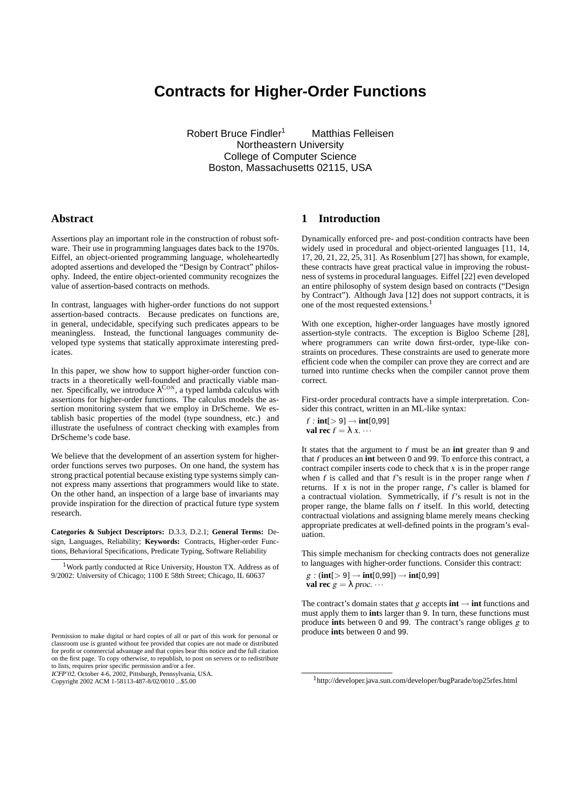# **Contracts for Higher-Order Functions**

Robert Bruce Findler<sup>1</sup> Matthias Felleisen Northeastern University College of Computer Science Boston, Massachusetts 02115, USA

#### **Abstract**

Assertions play an important role in the construction of robust software. Their use in programming languages dates back to the 1970s. Eiffel, an object-oriented programming language, wholeheartedly adopted assertions and developed the "Design by Contract" philosophy. Indeed, the entire object-oriented community recognizes the value of assertion-based contracts on methods.

In contrast, languages with higher-order functions do not support assertion-based contracts. Because predicates on functions are, in general, undecidable, specifying such predicates appears to be meaningless. Instead, the functional languages community developed type systems that statically approximate interesting predicates.

In this paper, we show how to support higher-order function contracts in a theoretically well-founded and practically viable manner. Specifically, we introduce  $\lambda^{\text{CON}}$ , a typed lambda calculus with assertions for higher-order functions. The calculus models the assertion monitoring system that we employ in DrScheme. We establish basic properties of the model (type soundness, etc.) and illustrate the usefulness of contract checking with examples from DrScheme's code base.

We believe that the development of an assertion system for higherorder functions serves two purposes. On one hand, the system has strong practical potential because existing type systems simply cannot express many assertions that programmers would like to state. On the other hand, an inspection of a large base of invariants may provide inspiration for the direction of practical future type system research.

**Categories & Subject Descriptors:** D.3.3, D.2.1; **General Terms:** Design, Languages, Reliability; **Keywords:** Contracts, Higher-order Functions, Behavioral Specifications, Predicate Typing, Software Reliability

<sup>1</sup>Work partly conducted at Rice University, Houston TX. Address as of 9/2002: University of Chicago; 1100 E 58th Street; Chicago, IL 60637

Copyright 2002 ACM 1-58113-487-8/02/0010 ...\$5.00

#### **1 Introduction**

Dynamically enforced pre- and post-condition contracts have been widely used in procedural and object-oriented languages [11, 14, 17, 20, 21, 22, 25, 31]. As Rosenblum [27] has shown, for example, these contracts have great practical value in improving the robustness of systems in procedural languages. Eiffel [22] even developed an entire philosophy of system design based on contracts ("Design by Contract"). Although Java [12] does not support contracts, it is one of the most requested extensions.<sup>1</sup>

With one exception, higher-order languages have mostly ignored assertion-style contracts. The exception is Bigloo Scheme [28], where programmers can write down first-order, type-like constraints on procedures. These constraints are used to generate more efficient code when the compiler can prove they are correct and are turned into runtime checks when the compiler cannot prove them correct.

First-order procedural contracts have a simple interpretation. Consider this contract, written in an ML-like syntax:

 $f : \text{int} > 9 \rightarrow \text{int}[0,99]$ **val rec**  $f = \lambda x$ .

It states that the argument to f must be an **int** greater than 9 and that f produces an **int** between 0 and 99. To enforce this contract, a contract compiler inserts code to check that x is in the proper range when  $f$  is called and that  $f$ 's result is in the proper range when  $f$ returns. If x is not in the proper range, f's caller is blamed for a contractual violation. Symmetrically, if f's result is not in the proper range, the blame falls on f itself. In this world, detecting contractual violations and assigning blame merely means checking appropriate predicates at well-defined points in the program's evaluation.

This simple mechanism for checking contracts does not generalize to languages with higher-order functions. Consider this contract:

 $g : (int[>9] \rightarrow int[0,99]) \rightarrow int[0,99]$ **val rec**  $g = \lambda$  proc.  $\cdots$ 

The contract's domain states that g accepts  $int \rightarrow int$  functions and must apply them to **int**s larger than 9. In turn, these functions must produce **int**s between 0 and 99. The contract's range obliges g to produce **int**s between 0 and 99.

Permission to make digital or hard copies of all or part of this work for personal or classroom use is granted without fee provided that copies are not made or distributed for profit or commercial advantage and that copies bear this notice and the full citation on the first page. To copy otherwise, to republish, to post on servers or to redistribute to lists, requires prior specific permission and/or a fee. ICFP'02, October 4-6, 2002, Pittsburgh, Pennsylvania, USA.

<sup>1</sup> http://developer.java.sun.com/developer/bugParade/top25rfes.html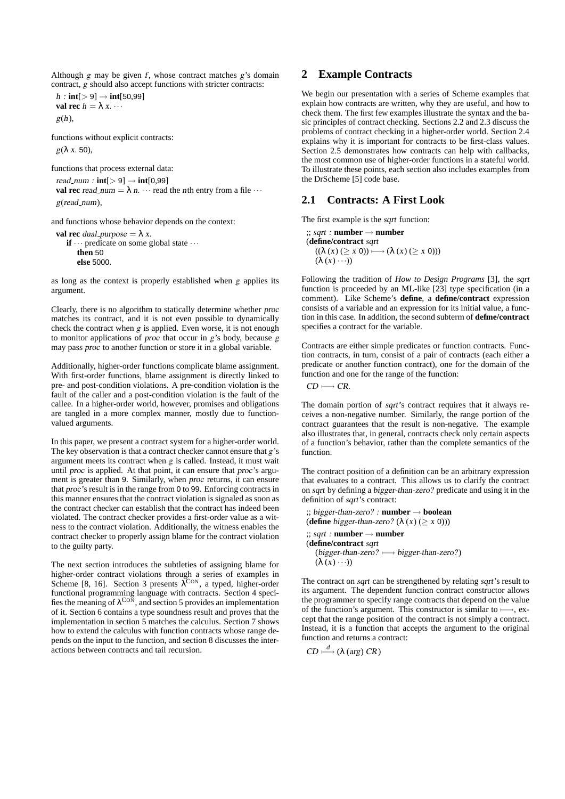Although  $g$  may be given  $f$ , whose contract matches  $g$ 's domain contract, g should also accept functions with stricter contracts:

 $h : \textbf{int} > 9 \rightarrow \textbf{int}[50, 99]$ **val rec**  $h = \lambda x$ .  $\sigma(h)$ .

functions without explicit contracts:  $g(\lambda x. 50)$ ,

functions that process external data:

 $read_number : int[> 9] \rightarrow int[0,99]$ **val rec** read\_num =  $\lambda$  n.  $\cdots$  read the nth entry from a file  $\cdots$  $g(read_number),$ 

and functions whose behavior depends on the context:

```
val rec dual purpose = \lambda x.
  if ··· predicate on some global state ···
      then 50
      else 5000.
```
as long as the context is properly established when g applies its argument.

Clearly, there is no algorithm to statically determine whether proc matches its contract, and it is not even possible to dynamically check the contract when g is applied. Even worse, it is not enough to monitor applications of *proc* that occur in  $g$ 's body, because  $g$ may pass proc to another function or store it in a global variable.

Additionally, higher-order functions complicate blame assignment. With first-order functions, blame assignment is directly linked to pre- and post-condition violations. A pre-condition violation is the fault of the caller and a post-condition violation is the fault of the callee. In a higher-order world, however, promises and obligations are tangled in a more complex manner, mostly due to functionvalued arguments.

In this paper, we present a contract system for a higher-order world. The key observation is that a contract checker cannot ensure that  $g$ 's argument meets its contract when g is called. Instead, it must wait until proc is applied. At that point, it can ensure that proc's argument is greater than 9. Similarly, when proc returns, it can ensure that proc's result is in the range from 0 to 99. Enforcing contracts in this manner ensures that the contract violation is signaled as soon as the contract checker can establish that the contract has indeed been violated. The contract checker provides a first-order value as a witness to the contract violation. Additionally, the witness enables the contract checker to properly assign blame for the contract violation to the guilty party.

The next section introduces the subtleties of assigning blame for higher-order contract violations through a series of examples in Scheme [8, 16]. Section 3 presents  $\lambda^{\text{CON}}$ , a typed, higher-order functional programming language with contracts. Section 4 specifies the meaning of  $\lambda^{\text{CON}}$ , and section 5 provides an implementation of it. Section 6 contains a type soundness result and proves that the implementation in section 5 matches the calculus. Section 7 shows how to extend the calculus with function contracts whose range depends on the input to the function, and section 8 discusses the interactions between contracts and tail recursion.

### **2 Example Contracts**

We begin our presentation with a series of Scheme examples that explain how contracts are written, why they are useful, and how to check them. The first few examples illustrate the syntax and the basic principles of contract checking. Sections 2.2 and 2.3 discuss the problems of contract checking in a higher-order world. Section 2.4 explains why it is important for contracts to be first-class values. Section 2.5 demonstrates how contracts can help with callbacks, the most common use of higher-order functions in a stateful world. To illustrate these points, each section also includes examples from the DrScheme [5] code base.

### **2.1 Contracts: A First Look**

The first example is the sqrt function:

```
\therefore sqrt : number \rightarrow number
(define/contract sqrt
   ((\lambda (x) (\geq x 0)) \longmapsto (\lambda (x) (\geq x 0)))(\lambda(x)\cdots)
```
Following the tradition of *How to Design Programs* [3], the sqrt function is proceeded by an ML-like [23] type specification (in a comment). Like Scheme's **define**, a **define/contract** expression consists of a variable and an expression for its initial value, a function in this case. In addition, the second subterm of **define/contract** specifies a contract for the variable.

Contracts are either simple predicates or function contracts. Function contracts, in turn, consist of a pair of contracts (each either a predicate or another function contract), one for the domain of the function and one for the range of the function:

 $CD \longmapsto CR$ .

The domain portion of sqrt's contract requires that it always receives a non-negative number. Similarly, the range portion of the contract guarantees that the result is non-negative. The example also illustrates that, in general, contracts check only certain aspects of a function's behavior, rather than the complete semantics of the function.

The contract position of a definition can be an arbitrary expression that evaluates to a contract. This allows us to clarify the contract on sqrt by defining a bigger-than-zero? predicate and using it in the definition of sqrt's contract:

```
;; bigger-than-zero? : number → boolean
(define bigger-than-zero? (\lambda(x) (\geq x 0)))
\gamma; sqrt : number \rightarrow number
(define/contract sqrt
  (bigger-than-zero? \longmapsto bigger-than-zero?)
  (\lambda(x) \cdots)
```
The contract on sqrt can be strengthened by relating sqrt's result to its argument. The dependent function contract constructor allows the programmer to specify range contracts that depend on the value of the function's argument. This constructor is similar to 7−→, except that the range position of the contract is not simply a contract. Instead, it is a function that accepts the argument to the original function and returns a contract:

 $CD \stackrel{d}{\longmapsto} (\lambda \text{ (arg) } CR)$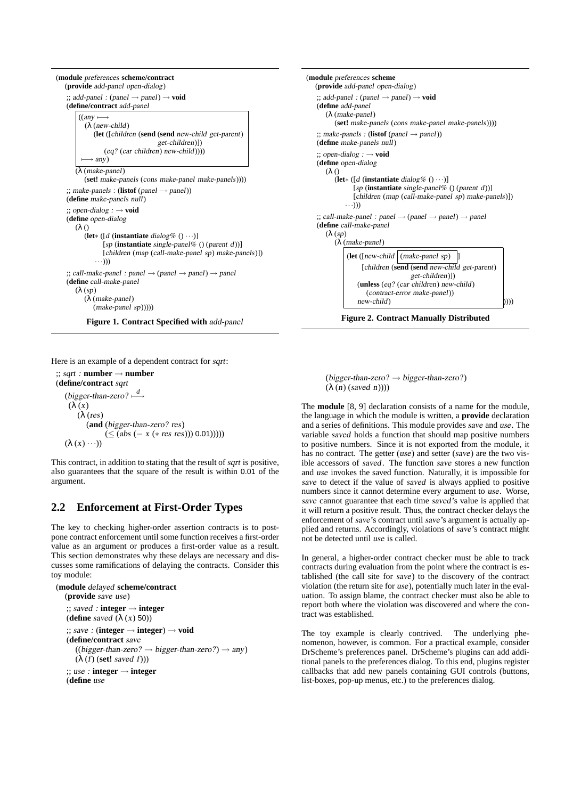```
(module preferences scheme/contract
  (provide add-panel open-dialog)
   ;; add-panel : (panel → panel) → void
   (define/contract add-panel
       ((any +(λ (new-child)
            (let ([children (send (send new-child get-parent)
                                  get-children)])
                (eq? (car children) new-child))))
            any)
      (λ (make-panel)
         (set! make-panels (cons make-panel make-panels))))
   \therefore make-panels : (listof (panel \rightarrow panel))
   (define make-panels null)
   ;; open-dialog : → void
   (define open-dialog
      (\lambda)(let∗ ([d (instantiate dialog% () ···)]
               [sp (instantiate single-panel% () (parent d))]
               [children (map (call-make-panel sp) make-panels)])
             ···)))
   \gamma; call-make-panel : panel \rightarrow (panel \rightarrow panel) \rightarrow panel
   (define call-make-panel
      (\lambda (sp)(λ (make-panel)
            (make-panel sp)))))
          Figure 1. Contract Specified with add-panel
```
Here is an example of a dependent contract for sqrt:

 $\therefore$  *sqrt* : **number**  $\rightarrow$  **number** (**define/contract** sqrt (bigger-than-zero?  $\stackrel{d}{\longmapsto}$  $(\lambda(x))$ (λ (res) (**and** (bigger-than-zero? res)  $(\leq (abs (- x (* res res))) 0.01)))))$  $(\lambda(x) \cdots)$ 

This contract, in addition to stating that the result of sqrt is positive, also guarantees that the square of the result is within 0.01 of the argument.

## **2.2 Enforcement at First-Order Types**

The key to checking higher-order assertion contracts is to postpone contract enforcement until some function receives a first-order value as an argument or produces a first-order value as a result. This section demonstrates why these delays are necessary and discusses some ramifications of delaying the contracts. Consider this toy module:

```
(module delayed scheme/contract
   (provide save use)
   ;; saved : integer → integer
   (define saved (λ (x) 50))
   \therefore save : (integer \rightarrow integer) \rightarrow void
   (define/contract save
       ((bigger-than-zero? \rightarrow bigger-than-zero?) \rightarrow any)(λ (f) (set! saved f)))
   \therefore use : integer \rightarrow integer
   (define use
```


**Figure 2. Contract Manually Distributed**

 $(bigger-than-zero? \rightarrow bigger-than-zero?)$  $(\lambda(n)$  (saved n))))

The **module** [8, 9] declaration consists of a name for the module, the language in which the module is written, a **provide** declaration and a series of definitions. This module provides save and use. The variable saved holds a function that should map positive numbers to positive numbers. Since it is not exported from the module, it has no contract. The getter (use) and setter (save) are the two visible accessors of saved. The function save stores a new function and use invokes the saved function. Naturally, it is impossible for save to detect if the value of saved is always applied to positive numbers since it cannot determine every argument to use. Worse, save cannot guarantee that each time saved's value is applied that it will return a positive result. Thus, the contract checker delays the enforcement of save's contract until save's argument is actually applied and returns. Accordingly, violations of save's contract might not be detected until use is called.

In general, a higher-order contract checker must be able to track contracts during evaluation from the point where the contract is established (the call site for save) to the discovery of the contract violation (the return site for use), potentially much later in the evaluation. To assign blame, the contract checker must also be able to report both where the violation was discovered and where the contract was established.

The toy example is clearly contrived. The underlying phenomenon, however, is common. For a practical example, consider DrScheme's preferences panel. DrScheme's plugins can add additional panels to the preferences dialog. To this end, plugins register callbacks that add new panels containing GUI controls (buttons, list-boxes, pop-up menus, etc.) to the preferences dialog.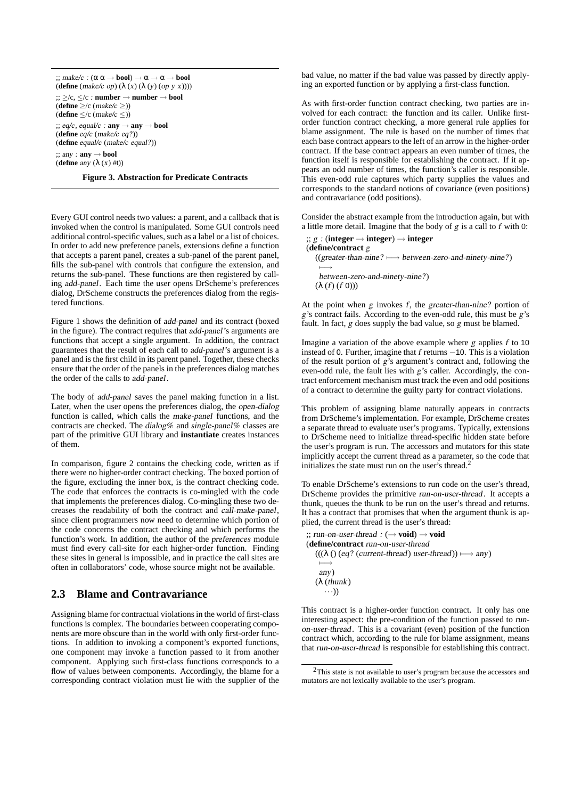$\therefore$  make/c :  $(\alpha \alpha \rightarrow \text{bool}) \rightarrow \alpha \rightarrow \alpha \rightarrow \text{bool}$ (**define** (make/c op) (λ (x) (λ (y) (op y x))))

;; ≥/c, ≤/c : **number** → **number** → **bool** (**define** ≥/c (make/c ≥)) (**define** ≤/c (make/c ≤))

:: eq/c, equal/c :  $\mathbf{anv} \rightarrow \mathbf{anv} \rightarrow \mathbf{bool}$ (**define** eq/c (make/c eq? )) (**define** equal/c (make/c equal? ))

 $\therefore$  any  $\therefore$  **any**  $\rightarrow$  **bool** (**define** any (λ (x) #t))

#### **Figure 3. Abstraction for Predicate Contracts**

Every GUI control needs two values: a parent, and a callback that is invoked when the control is manipulated. Some GUI controls need additional control-specific values, such as a label or a list of choices. In order to add new preference panels, extensions define a function that accepts a parent panel, creates a sub-panel of the parent panel, fills the sub-panel with controls that configure the extension, and returns the sub-panel. These functions are then registered by calling add-panel. Each time the user opens DrScheme's preferences dialog, DrScheme constructs the preferences dialog from the registered functions.

Figure 1 shows the definition of add-panel and its contract (boxed in the figure). The contract requires that add-panel's arguments are functions that accept a single argument. In addition, the contract guarantees that the result of each call to add-panel's argument is a panel and is the first child in its parent panel. Together, these checks ensure that the order of the panels in the preferences dialog matches the order of the calls to add-panel.

The body of add-panel saves the panel making function in a list. Later, when the user opens the preferences dialog, the open-dialog function is called, which calls the make-panel functions, and the contracts are checked. The dialog% and single-panel% classes are part of the primitive GUI library and **instantiate** creates instances of them.

In comparison, figure 2 contains the checking code, written as if there were no higher-order contract checking. The boxed portion of the figure, excluding the inner box, is the contract checking code. The code that enforces the contracts is co-mingled with the code that implements the preferences dialog. Co-mingling these two decreases the readability of both the contract and call-make-panel, since client programmers now need to determine which portion of the code concerns the contract checking and which performs the function's work. In addition, the author of the preferences module must find every call-site for each higher-order function. Finding these sites in general is impossible, and in practice the call sites are often in collaborators' code, whose source might not be available.

#### **2.3 Blame and Contravariance**

Assigning blame for contractual violations in the world of first-class functions is complex. The boundaries between cooperating components are more obscure than in the world with only first-order functions. In addition to invoking a component's exported functions, one component may invoke a function passed to it from another component. Applying such first-class functions corresponds to a flow of values between components. Accordingly, the blame for a corresponding contract violation must lie with the supplier of the bad value, no matter if the bad value was passed by directly applying an exported function or by applying a first-class function.

As with first-order function contract checking, two parties are involved for each contract: the function and its caller. Unlike firstorder function contract checking, a more general rule applies for blame assignment. The rule is based on the number of times that each base contract appears to the left of an arrow in the higher-order contract. If the base contract appears an even number of times, the function itself is responsible for establishing the contract. If it appears an odd number of times, the function's caller is responsible. This even-odd rule captures which party supplies the values and corresponds to the standard notions of covariance (even positions) and contravariance (odd positions).

Consider the abstract example from the introduction again, but with a little more detail. Imagine that the body of  $g$  is a call to  $f$  with 0:

```
\gamma;; g : (integer \rightarrow integer) \rightarrow integer
(define/contract g
   ((greater-than-nine? \longmapsto between-zero-and-ninety-nine?)
     \longmapstobetween-zero-and-ninety-nine? )
   (\lambda(f)(f(0)))
```
At the point when g invokes f, the greater-than-nine? portion of g's contract fails. According to the even-odd rule, this must be g's fault. In fact, g does supply the bad value, so g must be blamed.

Imagine a variation of the above example where  $g$  applies  $f$  to 10 instead of 0. Further, imagine that  $f$  returns  $-10$ . This is a violation of the result portion of  $g$ 's argument's contract and, following the even-odd rule, the fault lies with g's caller. Accordingly, the contract enforcement mechanism must track the even and odd positions of a contract to determine the guilty party for contract violations.

This problem of assigning blame naturally appears in contracts from DrScheme's implementation. For example, DrScheme creates a separate thread to evaluate user's programs. Typically, extensions to DrScheme need to initialize thread-specific hidden state before the user's program is run. The accessors and mutators for this state implicitly accept the current thread as a parameter, so the code that initializes the state must run on the user's thread.<sup>2</sup>

To enable DrScheme's extensions to run code on the user's thread, DrScheme provides the primitive run-on-user-thread. It accepts a thunk, queues the thunk to be run on the user's thread and returns. It has a contract that promises that when the argument thunk is applied, the current thread is the user's thread:

 $\therefore$ ; run-on-user-thread  $\therefore$   $\leftrightarrow$  **void**)  $\rightarrow$  **void** (**define/contract** run-on-user-thread ((( $\lambda$  () (eq? (current-thread) user-thread))  $\rightarrow$  any)  $\longmapsto$ any) (λ (thunk) ···))

This contract is a higher-order function contract. It only has one interesting aspect: the pre-condition of the function passed to runon-user-thread. This is a covariant (even) position of the function contract which, according to the rule for blame assignment, means that run-on-user-thread is responsible for establishing this contract.

<sup>&</sup>lt;sup>2</sup>This state is not available to user's program because the accessors and mutators are not lexically available to the user's program.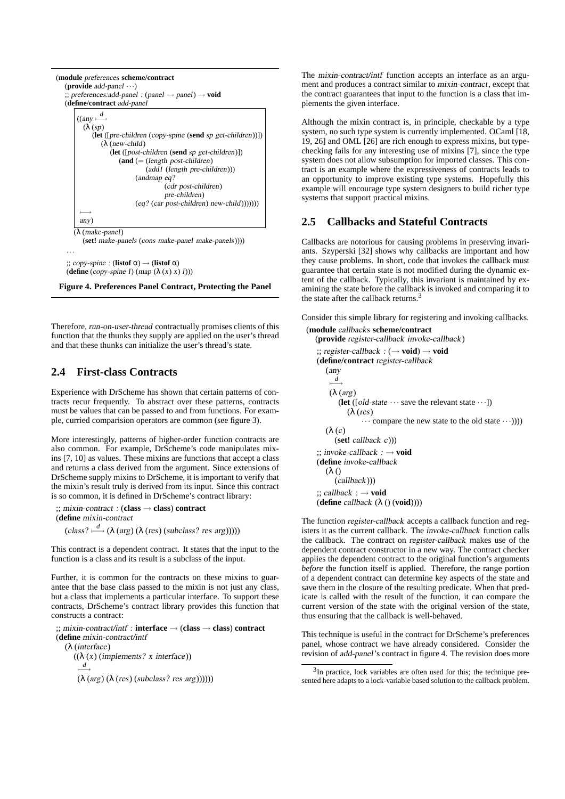



Therefore, run-on-user-thread contractually promises clients of this function that the thunks they supply are applied on the user's thread and that these thunks can initialize the user's thread's state.

### **2.4 First-class Contracts**

Experience with DrScheme has shown that certain patterns of contracts recur frequently. To abstract over these patterns, contracts must be values that can be passed to and from functions. For example, curried comparision operators are common (see figure 3).

More interestingly, patterns of higher-order function contracts are also common. For example, DrScheme's code manipulates mixins [7, 10] as values. These mixins are functions that accept a class and returns a class derived from the argument. Since extensions of DrScheme supply mixins to DrScheme, it is important to verify that the mixin's result truly is derived from its input. Since this contract is so common, it is defined in DrScheme's contract library:

```
;; mixin-contract : (class → class) contract
(define mixin-contract
   (class? \stackrel{d}{\longmapsto} (\lambda (arg) (\lambda (res) (subclass? res arg))))
```
This contract is a dependent contract. It states that the input to the function is a class and its result is a subclass of the input.

Further, it is common for the contracts on these mixins to guarantee that the base class passed to the mixin is not just any class, but a class that implements a particular interface. To support these contracts, DrScheme's contract library provides this function that constructs a contract:

;; mixin-contract/intf : **interface** → (**class** → **class**) **contract** (**define** mixin-contract/intf

```
(λ (interface)
```

```
((\lambda(x) (implements? x interface))
  \stackrel{d}{\longrightarrow}(\lambda \text{ (arg)} (\lambda \text{ (res)} \text{ (subclass? res arg))})))
```
The mixin-contract/intf function accepts an interface as an argument and produces a contract similar to mixin-contract, except that the contract guarantees that input to the function is a class that implements the given interface.

Although the mixin contract is, in principle, checkable by a type system, no such type system is currently implemented. OCaml [18, 19, 26] and OML [26] are rich enough to express mixins, but typechecking fails for any interesting use of mixins [7], since the type system does not allow subsumption for imported classes. This contract is an example where the expressiveness of contracts leads to an opportunity to improve existing type systems. Hopefully this example will encourage type system designers to build richer type systems that support practical mixins.

### **2.5 Callbacks and Stateful Contracts**

Callbacks are notorious for causing problems in preserving invariants. Szyperski [32] shows why callbacks are important and how they cause problems. In short, code that invokes the callback must guarantee that certain state is not modified during the dynamic extent of the callback. Typically, this invariant is maintained by examining the state before the callback is invoked and comparing it to the state after the callback returns.<sup>3</sup>

Consider this simple library for registering and invoking callbacks.

```
(module callbacks scheme/contract
  (provide register-callback invoke-callback)
   \therefore register-callback \therefore \leftrightarrow void) \rightarrow void
   (define/contract register-callback
      (any
        \stackrel{d}{\longrightarrow}(λ (arg)
           (let (\lceilold-state \cdots save the relevant state \cdots ))
              (λ (res)
                    \cdots compare the new state to the old state \cdots))))
      (\lambda(c))(set! callback c)))
   ;; invoke-callback : → void
   (define invoke-callback
      (λ)(callback)))
   ;; callback : → void
   (define callback (λ () (void))))
```
The function register-callback accepts a callback function and registers it as the current callback. The invoke-callback function calls the callback. The contract on register-callback makes use of the dependent contract constructor in a new way. The contract checker applies the dependent contract to the original function's arguments *before* the function itself is applied. Therefore, the range portion of a dependent contract can determine key aspects of the state and save them in the closure of the resulting predicate. When that predicate is called with the result of the function, it can compare the current version of the state with the original version of the state, thus ensuring that the callback is well-behaved.

This technique is useful in the contract for DrScheme's preferences panel, whose contract we have already considered. Consider the revision of add-panel's contract in figure 4. The revision does more

<sup>3</sup>In practice, lock variables are often used for this; the technique presented here adapts to a lock-variable based solution to the callback problem.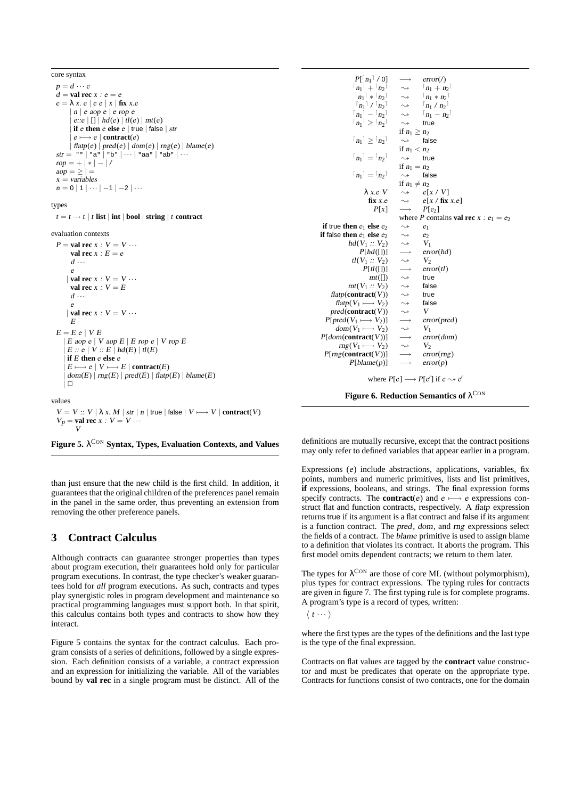core syntax  $p = d \cdots e$  $d =$ **val** rec  $x : e = e$  $e = \lambda x. e \mid e e \mid x \mid f$ **ix** x.e  $n | e$  aop  $e | e$  rop  $e$  $e: e | \prod | hd(e) | tl(e) | mt(e)$ | **if** e **then** e **else** e | true | false | str | e 7−→ e | **contract**(e)  $\text{flatp}(e) | \text{pred}(e) | \text{dom}(e) | \text{rng}(e) | \text{blame}(e)$  $\mathit{str} = ""\mid "a"\mid "b"\mid \cdots | "aa"\mid "ab"\mid \cdots$  $rop = + | * | - | /$  $aop = > | =$  $x = variables$  $n = 0 \mid 1 \mid \cdots \mid -1 \mid -2 \mid \cdots$ types  $t = t \rightarrow t | t$  **list** | **int** | **bool** | **string** | t **contract** 

evaluation contexts

```
P =val rec x : V = V \cdotsval rec x : E = ed \cdotse
   \vert val rec x : V = V \cdotsval rec x : V = Ed \cdotse
   \vert val rec x : V = V \cdotsE
E = E e | V EE aop e | V aop E | E rop e | V rop EE :: e | V :: E | h d(E) | t l(E)| if E then e else e
   E \longmapsto e | V \longmapsto E | contract(E)
   dom(E) | rng(E) | pred(E) | flatp(E) | blame(E)\Box
```
values

 $V = V :: V | \lambda x. M | str | n | true | false | V \longmapsto V | contract(V)$  $V_p$  = **val rec**  $x : V = V \cdots$ V

**Figure 5.** λ <sup>C</sup>ON **Syntax, Types, Evaluation Contexts, and Values**

than just ensure that the new child is the first child. In addition, it guarantees that the original children of the preferences panel remain in the panel in the same order, thus preventing an extension from removing the other preference panels.

### **3 Contract Calculus**

Although contracts can guarantee stronger properties than types about program execution, their guarantees hold only for particular program executions. In contrast, the type checker's weaker guarantees hold for *all* program executions. As such, contracts and types play synergistic roles in program development and maintenance so practical programming languages must support both. In that spirit, this calculus contains both types and contracts to show how they interact.

Figure 5 contains the syntax for the contract calculus. Each program consists of a series of definitions, followed by a single expression. Each definition consists of a variable, a contract expression and an expression for initializing the variable. All of the variables bound by **val rec** in a single program must be distinct. All of the



**Figure 6. Reduction Semantics of**  $\lambda^{\text{CON}}$ 

definitions are mutually recursive, except that the contract positions may only refer to defined variables that appear earlier in a program.

Expressions (e) include abstractions, applications, variables, fix points, numbers and numeric primitives, lists and list primitives, **if** expressions, booleans, and strings. The final expression forms specify contracts. The **contract**(e) and  $e \mapsto e$  expressions construct flat and function contracts, respectively. A flatp expression returns true if its argument is a flat contract and false if its argument is a function contract. The pred, dom, and rng expressions select the fields of a contract. The blame primitive is used to assign blame to a definition that violates its contract. It aborts the program. This first model omits dependent contracts; we return to them later.

The types for  $\lambda^{\text{CON}}$  are those of core ML (without polymorphism), plus types for contract expressions. The typing rules for contracts are given in figure 7. The first typing rule is for complete programs. A program's type is a record of types, written:

 $\langle t \cdots \rangle$ 

where the first types are the types of the definitions and the last type is the type of the final expression.

Contracts on flat values are tagged by the **contract** value constructor and must be predicates that operate on the appropriate type. Contracts for functions consist of two contracts, one for the domain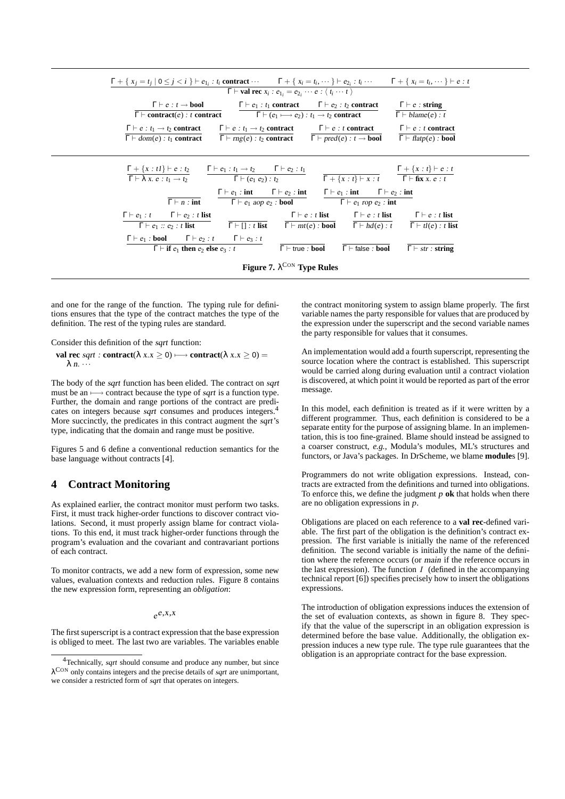

and one for the range of the function. The typing rule for definitions ensures that the type of the contract matches the type of the definition. The rest of the typing rules are standard.

Consider this definition of the sqrt function:

**val rec** *sqrt* : **contract**(
$$
\lambda
$$
 *x*.*x*  $\ge$  0)  $\longrightarrow$  **contract**( $\lambda$  *x*.*x*  $\ge$  0) =  $\lambda$  *n*. ...

The body of the sqrt function has been elided. The contract on sqrt must be an  $\longmapsto$  contract because the type of sqrt is a function type. Further, the domain and range portions of the contract are predicates on integers because sqrt consumes and produces integers.<sup>4</sup> More succinctly, the predicates in this contract augment the sqrt's type, indicating that the domain and range must be positive.

Figures 5 and 6 define a conventional reduction semantics for the base language without contracts [4].

### **4 Contract Monitoring**

As explained earlier, the contract monitor must perform two tasks. First, it must track higher-order functions to discover contract violations. Second, it must properly assign blame for contract violations. To this end, it must track higher-order functions through the program's evaluation and the covariant and contravariant portions of each contract.

To monitor contracts, we add a new form of expression, some new values, evaluation contexts and reduction rules. Figure 8 contains the new expression form, representing an *obligation*:

### $e^{e,x,x}$

The first superscript is a contract expression that the base expression is obliged to meet. The last two are variables. The variables enable the contract monitoring system to assign blame properly. The first variable names the party responsible for values that are produced by the expression under the superscript and the second variable names the party responsible for values that it consumes.

An implementation would add a fourth superscript, representing the source location where the contract is established. This superscript would be carried along during evaluation until a contract violation is discovered, at which point it would be reported as part of the error message.

In this model, each definition is treated as if it were written by a different programmer. Thus, each definition is considered to be a separate entity for the purpose of assigning blame. In an implementation, this is too fine-grained. Blame should instead be assigned to a coarser construct, *e.g.*, Modula's modules, ML's structures and functors, or Java's packages. In DrScheme, we blame **module**s [9].

Programmers do not write obligation expressions. Instead, contracts are extracted from the definitions and turned into obligations. To enforce this, we define the judgment p **ok** that holds when there are no obligation expressions in p.

Obligations are placed on each reference to a **val rec**-defined variable. The first part of the obligation is the definition's contract expression. The first variable is initially the name of the referenced definition. The second variable is initially the name of the definition where the reference occurs (or main if the reference occurs in the last expression). The function  $I$  (defined in the accompanying technical report [6]) specifies precisely how to insert the obligations expressions.

The introduction of obligation expressions induces the extension of the set of evaluation contexts, as shown in figure 8. They specify that the value of the superscript in an obligation expression is determined before the base value. Additionally, the obligation expression induces a new type rule. The type rule guarantees that the obligation is an appropriate contract for the base expression.

<sup>4</sup>Technically, sqrt should consume and produce any number, but since  $\lambda^{\text{CON}}$  only contains integers and the precise details of *sqrt* are unimportant, we consider a restricted form of sqrt that operates on integers.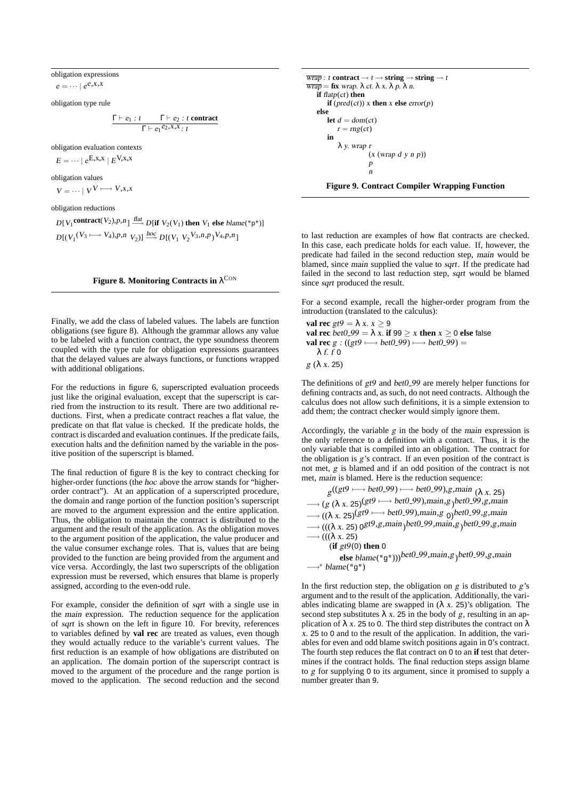obligation expressions  $e = \cdots |e^{e, X, X}$ 

obligation type rule

$$
\frac{\Gamma \vdash e_1 : t \qquad \Gamma \vdash e_2 : t \text{ contract}}{\Gamma \vdash e_1^{e_2, x, x} : t}
$$

obligation evaluation contexts

 $E = \cdots |e^{\text{E},X,X} | E^{\text{V},X,X}$ 

obligation values

 $V = \cdots | V^{\overline{V}} \longmapsto V, X, X$ 

obligation reductions

 $D[V_1^{\text{contract}(V_2),p,n}] \stackrel{\text{flat}}{\longrightarrow} D[\text{if } V_2(V_1) \text{ then } V_1 \text{ else } \text{blame}("p")]$  $D[(V_1^{(V_3 \rightarrow V_4), p,n} V_2)] \stackrel{hoc}{\longrightarrow} D[(V_1 V_2^{V_3,n,p})^{V_4,p,n}]$ 

#### **Figure 8. Monitoring Contracts in λ<sup>Con</sup>**

Finally, we add the class of labeled values. The labels are function obligations (see figure 8). Although the grammar allows any value to be labeled with a function contract, the type soundness theorem coupled with the type rule for obligation expressions guarantees that the delayed values are always functions, or functions wrapped with additional obligations.

For the reductions in figure 6, superscripted evaluation proceeds just like the original evaluation, except that the superscript is carried from the instruction to its result. There are two additional reductions. First, when a predicate contract reaches a flat value, the predicate on that flat value is checked. If the predicate holds, the contract is discarded and evaluation continues. If the predicate fails, execution halts and the definition named by the variable in the positive position of the superscript is blamed.

The final reduction of figure 8 is the key to contract checking for higher-order functions (the hoc above the arrow stands for "higherorder contract"). At an application of a superscripted procedure, the domain and range portion of the function position's superscript are moved to the argument expression and the entire application. Thus, the obligation to maintain the contract is distributed to the argument and the result of the application. As the obligation moves to the argument position of the application, the value producer and the value consumer exchange roles. That is, values that are being provided to the function are being provided from the argument and vice versa. Accordingly, the last two superscripts of the obligation expression must be reversed, which ensures that blame is properly assigned, according to the even-odd rule.

For example, consider the definition of sqrt with a single use in the main expression. The reduction sequence for the application of sqrt is shown on the left in figure 10. For brevity, references to variables defined by **val rec** are treated as values, even though they would actually reduce to the variable's current values. The first reduction is an example of how obligations are distributed on an application. The domain portion of the superscript contract is moved to the argument of the procedure and the range portion is moved to the application. The second reduction and the second

```
\overline{wrap}: t \text{ contract} \rightarrow t \rightarrow \text{string} \rightarrow \text{string} \rightarrow t\overline{wrap} = f\mathbf{ix} wrap. \lambda ct. \lambda x. \lambda p. \lambda n.
    if flatp(ct) then
         if (pred(ct)) x then x else error(p)else
          let d = dom(ct)r = \text{rng}(ct)in
               λ y. wrap r
                              (x (wrap d y n p))p
                                n
```
**Figure 9. Contract Compiler Wrapping Function**

to last reduction are examples of how flat contracts are checked. In this case, each predicate holds for each value. If, however, the predicate had failed in the second reduction step, main would be blamed, since main supplied the value to sqrt. If the predicate had failed in the second to last reduction step, sqrt would be blamed since sqrt produced the result.

For a second example, recall the higher-order program from the introduction (translated to the calculus):

**val rec**  $gt9 = \lambda x. x \ge 9$ **val rec** bet $0.99 = \lambda x$ . **if** 99 > x **then**  $x > 0$  **else** false **val rec** g :  $((gt9 \rightarrow bet0.99) \rightarrow bet0.99) =$  $λ$  f. f 0  $g$  ( $\lambda$  x. 25)

The definitions of  $gt9$  and  $bet0.99$  are merely helper functions for defining contracts and, as such, do not need contracts. Although the calculus does not allow such definitions, it is a simple extension to add them; the contract checker would simply ignore them.

Accordingly, the variable  $g$  in the body of the *main* expression is the only reference to a definition with a contract. Thus, it is the only variable that is compiled into an obligation. The contract for the obligation is g's contract. If an even position of the contract is not met, g is blamed and if an odd position of the contract is not met, main is blamed. Here is the reduction sequence:

 $g((gt9 \rightarrow bet0.99) \rightarrow bet0.99),g,main (\lambda x. 25)$  $\longrightarrow (g (\lambda x. 25) (gt9 \rightarrow bet0.99), \text{main}, g)$ bet0.99,g,main  $\longrightarrow$  (( $\lambda$  x. 25)<sup>(gt9</sup>  $\longmapsto$  bet0\_99),main,g <sub>0)</sub>bet0\_99,g,main  $\longrightarrow$  ((( $\lambda$  x. 25) 0gt9,g,main bet0\_99,main,g bet0\_99,g,main  $\longrightarrow$  ((( $\lambda$  x. 25) (**if** gt9(0) **then** 0 **else** blame("g")))<sup>bet0\_99</sup>,main,g<sub>)</sub>bet0\_99,g,main  $\longrightarrow^*$  blame("q")

In the first reduction step, the obligation on  $g$  is distributed to  $g$ 's argument and to the result of the application. Additionally, the variables indicating blame are swapped in  $(\lambda x. 25)$ 's obligation. The second step substitutes  $\lambda$  x. 25 in the body of g, resulting in an application of  $\lambda$  x. 25 to 0. The third step distributes the contract on  $\lambda$ x. 25 to 0 and to the result of the application. In addition, the variables for even and odd blame switch positions again in 0's contract. The fourth step reduces the flat contract on 0 to an **if** test that determines if the contract holds. The final reduction steps assign blame to g for supplying 0 to its argument, since it promised to supply a number greater than 9.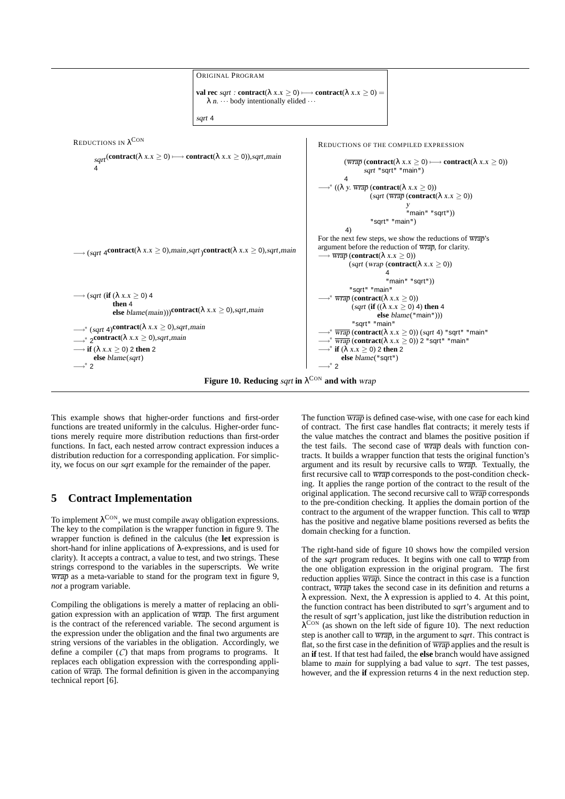

This example shows that higher-order functions and first-order functions are treated uniformly in the calculus. Higher-order functions merely require more distribution reductions than first-order functions. In fact, each nested arrow contract expression induces a distribution reduction for a corresponding application. For simplicity, we focus on our sqrt example for the remainder of the paper.

### **5 Contract Implementation**

To implement  $\lambda^{\text{CON}}$ , we must compile away obligation expressions. The key to the compilation is the wrapper function in figure 9. The wrapper function is defined in the calculus (the **let** expression is short-hand for inline applications of λ-expressions, and is used for clarity). It accepts a contract, a value to test, and two strings. These strings correspond to the variables in the superscripts. We write  $\overline{wrap}$  as a meta-variable to stand for the program text in figure 9, *not* a program variable.

Compiling the obligations is merely a matter of replacing an obligation expression with an application of  $\overline{wrap}$ . The first argument is the contract of the referenced variable. The second argument is the expression under the obligation and the final two arguments are string versions of the variables in the obligation. Accordingly, we define a compiler  $(C)$  that maps from programs to programs. It replaces each obligation expression with the corresponding application of wrap. The formal definition is given in the accompanying technical report [6].

The function  $\overline{wrap}$  is defined case-wise, with one case for each kind of contract. The first case handles flat contracts; it merely tests if the value matches the contract and blames the positive position if the test fails. The second case of  $\overline{wrap}$  deals with function contracts. It builds a wrapper function that tests the original function's argument and its result by recursive calls to  $\overline{wrap}$ . Textually, the first recursive call to  $\overline{wrap}$  corresponds to the post-condition checking. It applies the range portion of the contract to the result of the original application. The second recursive call to  $\overline{wrap}$  corresponds to the pre-condition checking. It applies the domain portion of the contract to the argument of the wrapper function. This call to  $\overline{wrap}$ has the positive and negative blame positions reversed as befits the domain checking for a function.

The right-hand side of figure 10 shows how the compiled version of the sqrt program reduces. It begins with one call to  $\overline{w \overline{r} \overline{a} \overline{p}}$  from the one obligation expression in the original program. The first reduction applies  $\overline{wrap}$ . Since the contract in this case is a function contract, wrap takes the second case in its definition and returns a λ expression. Next, the λ expression is applied to 4. At this point, the function contract has been distributed to sqrt's argument and to the result of sqrt's application, just like the distribution reduction in λ <sup>C</sup>ON (as shown on the left side of figure 10). The next reduction step is another call to  $\overline{wrap}$ , in the argument to sqrt. This contract is flat, so the first case in the definition of  $\overline{wrap}$  applies and the result is an **if** test. If that test had failed, the **else** branch would have assigned blame to main for supplying a bad value to sqrt. The test passes, however, and the **if** expression returns 4 in the next reduction step.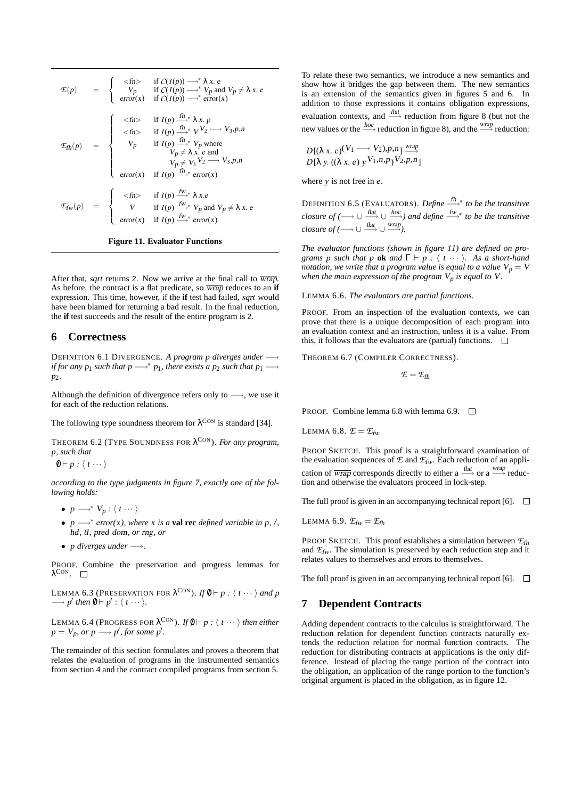$$
\mathcal{E}(p) = \begin{cases}\n\langle \text{fn} \rangle & \text{if } C(I(p)) \longrightarrow^* \lambda x. e \\
V_p & \text{if } C(I(p)) \longrightarrow^* V_p \text{ and } V_p \neq \lambda x. e \\
\text{error}(x) & \text{if } C(I(p)) \longrightarrow^* \text{ error}(x)\n\end{cases}
$$
\n
$$
\mathcal{E}_{fh}(p) = \begin{cases}\n\langle \text{fn} \rangle & \text{if } I(p) \xrightarrow{fh} \lambda x. p \\
\langle \text{fn} \rangle & \text{if } I(p) \xrightarrow{fh} \lambda x. p \text{ where } V_p \neq \lambda x. e \text{ and } V_p \neq \lambda x. e \text{ and } V_p \neq \lambda y. e \text{ and } V_p \neq \lambda y. e \text{ and } V_p \neq \lambda y. e \text{ and } V_p \neq \lambda y. e \text{ and } V_p \neq \lambda x. e \text{ and } V_p \neq \lambda x. e \text{ and } V_p \neq \lambda x. e \text{ and } V_p \neq \lambda x. e \text{ and } V_p \neq \lambda x. e \text{ and } V_p \neq \lambda x. e \text{ and } V_p \neq \lambda x. e \text{ and } V_p \neq \lambda x. e \text{ and } V_p \neq \lambda x. e \text{ and } V_p \neq \lambda x. e \text{ and } V_p \neq \lambda x. e \text{ and } V_p \neq \lambda x. e \text{ and } V_p \neq \lambda x. e \text{ and } V_p \neq \lambda x. e \text{ and } V_p \neq \lambda x. e \text{ and } V_p \neq \lambda x. e \text{ and } V_p \neq \lambda x. e \text{ and } V_p \neq \lambda y. e \text{ and } V_p \neq \lambda y. e \text{ and } V_p \neq \lambda y. e \text{ and } V_p \neq \lambda y. e \text{ and } V_p \neq \lambda y. e \text{ and } V_p \neq \lambda y. e \text{ and } V_p \neq \lambda y. e \text{ and } V_p \neq \lambda y. e \text{ and } V_p \neq \lambda y. e \text{ and } V_p \neq \lambda y. e \text{ and } V_p \neq \lambda y. e \text{ and } V_p \neq \lambda y. e \text{ and } V_p \neq \lambda y. e \text{ and } V_p \neq \lambda y. e \text{ and } V_p \ne
$$

**Figure 11. Evaluator Functions**

After that, sqrt returns 2. Now we arrive at the final call to  $\overline{w \cdot a p}$ . As before, the contract is a flat predicate, so  $\overline{w \overline{r} \overline{a} \overline{p}}$  reduces to an **if** expression. This time, however, if the **if** test had failed, sqrt would have been blamed for returning a bad result. In the final reduction, the **if** test succeeds and the result of the entire program is 2.

#### **6 Correctness**

DEFINITION 6.1 DIVERGENCE. *A program* p *diverges under* −→ *if for any*  $p_1$  *such that*  $p \rightarrow p_1$ *, there exists a*  $p_2$  *such that*  $p_1 \rightarrow p_2$ p2*.*

Although the definition of divergence refers only to  $\longrightarrow$ , we use it for each of the reduction relations.

The following type soundness theorem for  $\lambda^{\text{CON}}$  is standard [34].

THEOREM 6.2 (TYPE SOUNDNESS FOR  $\lambda^{\mathrm{CON}}$ ). *For any program*, p*, such that*

 $\emptyset$   $\vdash p : \langle t \cdots \rangle$ 

*according to the type judgments in figure 7, exactly one of the following holds:*

- $p \longrightarrow^* V_p : \langle t \cdots \rangle$
- $p \longrightarrow^* \text{error}(x)$ , where x is a **val rec** *defined variable in p, /,* hd*,* tl*,* pred dom*, or* rng*, or*
- p *diverges under* −→*.*

PROOF. Combine the preservation and progress lemmas for  $λ^{\text{CON}}$ .

LEMMA 6.3 (PRESERVATION FOR  $\lambda^{\mathrm{CON}}$ ). If  $\emptyset \vdash p : \langle \ t \cdots \rangle$  and p  $\longrightarrow$  p' then  $\emptyset \vdash p' : \langle t \cdots \rangle$ .

LEMMA 6.4 (PROGRESS FOR  $\lambda^{\mathrm{CON}}$ ). If  $\emptyset \vdash p$  :  $\langle$  t  $\cdots$   $\rangle$  then either  $p = V_p$ , or  $p \longrightarrow p'$ , for some  $p'$ .

The remainder of this section formulates and proves a theorem that relates the evaluation of programs in the instrumented semantics from section 4 and the contract compiled programs from section 5. To relate these two semantics, we introduce a new semantics and show how it bridges the gap between them. The new semantics is an extension of the semantics given in figures 5 and 6. In addition to those expressions it contains obligation expressions, evaluation contexts, and  $\frac{flat}{\longrightarrow}$  reduction from figure 8 (but not the new values or the  $\frac{hoc}{\longrightarrow}$  reduction in figure 8), and the  $\frac{wrap}{\longrightarrow}$  reduction:

$$
D[(\lambda x. e)^{(V_1 \longmapsto V_2), p, n}] \xrightarrow{\text{wrap}} D[\lambda y. ((\lambda x. e) y^{V_1, n, p})^{V_2, p, n}]
$$

where y is not free in e.

DEFINITION 6.5 (EVALUATORS). *Define* <sup>*fh*</sup><sub>→</sub>\* *to be the transitive closure of* ( $\longrightarrow$   $\cup$   $\stackrel{\text{flat}}{\longrightarrow}$   $\cup$   $\stackrel{\text{hoc}}{\longrightarrow}$ *) and define*  $\stackrel{\text{fw}}{\longrightarrow}$ \* *to be the transitive*  $closure of (\longrightarrow \cup \stackrel{flat}{\longrightarrow} \cup \stackrel{wrap}{\longrightarrow}).$ 

*The evaluator functions (shown in figure 11) are defined on programs* p *such that* p **ok** *and*  $\Gamma \vdash p : \langle t \cdots \rangle$ *. As a short-hand notation, we write that a program value is equal to a value*  $V_p = V$ *when the main expression of the program*  $V_p$  *is equal to*  $V$ *.* 

LEMMA 6.6. *The evaluators are partial functions.*

PROOF. From an inspection of the evaluation contexts, we can prove that there is a unique decomposition of each program into an evaluation context and an instruction, unless it is a value. From this, it follows that the evaluators are (partial) functions.  $\Box$ 

THEOREM 6.7 (COMPILER CORRECTNESS).

 $E = \mathcal{E}_{fh}$ 

PROOF. Combine lemma 6.8 with lemma 6.9. □

LEMMA 6.8.  $\mathcal{E} = \mathcal{E}_{fw}$ 

PROOF SKETCH. This proof is a straightforward examination of the evaluation sequences of  $E$  and  $E_{fw}$ . Each reduction of an application of  $\overline{wrap}$  corresponds directly to either a  $\xrightarrow{flat}$  or a  $\xrightarrow{wrap}$  reduction and otherwise the evaluators proceed in lock-step.

The full proof is given in an accompanying technical report [6].  $\Box$ 

LEMMA 6.9.  $\mathcal{E}_{fw} = \mathcal{E}_{fh}$ 

PROOF SKETCH. This proof establishes a simulation between *E*fh and  $E_{fw}$ . The simulation is preserved by each reduction step and it relates values to themselves and errors to themselves.

The full proof is given in an accompanying technical report [6].  $\Box$ 

#### **7 Dependent Contracts**

Adding dependent contracts to the calculus is straightforward. The reduction relation for dependent function contracts naturally extends the reduction relation for normal function contracts. The reduction for distributing contracts at applications is the only difference. Instead of placing the range portion of the contract into the obligation, an application of the range portion to the function's original argument is placed in the obligation, as in figure 12.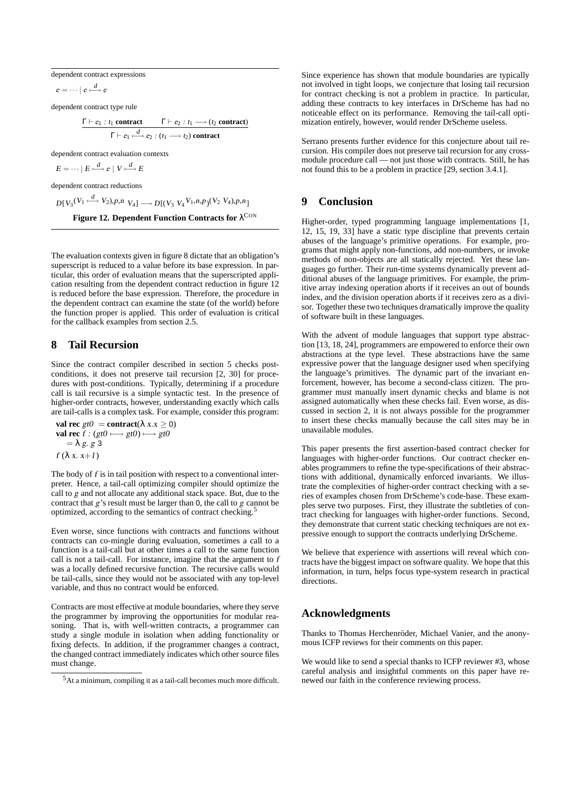dependent contract expressions

 $e = \cdots |e \stackrel{d}{\longmapsto} e$ 

dependent contract type rule

 $\Gamma \vdash e_1 : t_1$  **contract**  $\Gamma \vdash e_2 : t_1 \longrightarrow (t_2 \text{ contract})$  $\Gamma\vdash e_1\stackrel{d}{\longmapsto}e_2:(t_1\longrightarrow t_2)$  contract

dependent contract evaluation contexts

 $E=\cdots\mid E\stackrel{d}{\longmapsto}e\mid V\stackrel{d}{\longmapsto}E$ 

dependent contract reductions

 $D[V_3(Y_1 \stackrel{d}{\longmapsto} V_2), p, n] \longrightarrow D[(V_3 \ V_4 V_1, n, p)(V_2 \ V_4), p, n]$ **Figure 12. Dependent Function Contracts for λ<sup>CON</sup>** 

The evaluation contexts given in figure 8 dictate that an obligation's superscript is reduced to a value before its base expression. In particular, this order of evaluation means that the superscripted application resulting from the dependent contract reduction in figure 12 is reduced before the base expression. Therefore, the procedure in the dependent contract can examine the state (of the world) before the function proper is applied. This order of evaluation is critical for the callback examples from section 2.5.

#### **8 Tail Recursion**

Since the contract compiler described in section 5 checks postconditions, it does not preserve tail recursion [2, 30] for procedures with post-conditions. Typically, determining if a procedure call is tail recursive is a simple syntactic test. In the presence of higher-order contracts, however, understanding exactly which calls are tail-calls is a complex task. For example, consider this program:

**val rec** gt $0 =$  **contract** $(\lambda x.x > 0)$ **val rec**  $f$  : (gt $0$   $\longrightarrow$  gt $0$ )  $\longrightarrow$  gt $0$  $=\lambda g. g 3$ f ( $\lambda$  x.  $x+1$ )

The body of f is in tail position with respect to a conventional interpreter. Hence, a tail-call optimizing compiler should optimize the call to g and not allocate any additional stack space. But, due to the contract that g's result must be larger than 0, the call to g cannot be optimized, according to the semantics of contract checking.<sup>5</sup>

Even worse, since functions with contracts and functions without contracts can co-mingle during evaluation, sometimes a call to a function is a tail-call but at other times a call to the same function call is not a tail-call. For instance, imagine that the argument to f was a locally defined recursive function. The recursive calls would be tail-calls, since they would not be associated with any top-level variable, and thus no contract would be enforced.

Contracts are most effective at module boundaries, where they serve the programmer by improving the opportunities for modular reasoning. That is, with well-written contracts, a programmer can study a single module in isolation when adding functionality or fixing defects. In addition, if the programmer changes a contract, the changed contract immediately indicates which other source files must change.

Since experience has shown that module boundaries are typically not involved in tight loops, we conjecture that losing tail recursion for contract checking is not a problem in practice. In particular, adding these contracts to key interfaces in DrScheme has had no noticeable effect on its performance. Removing the tail-call optimization entirely, however, would render DrScheme useless.

Serrano presents further evidence for this conjecture about tail recursion. His compiler does not preserve tail recursion for any crossmodule procedure call — not just those with contracts. Still, he has not found this to be a problem in practice [29, section 3.4.1].

#### **9 Conclusion**

Higher-order, typed programming language implementations [1, 12, 15, 19, 33] have a static type discipline that prevents certain abuses of the language's primitive operations. For example, programs that might apply non-functions, add non-numbers, or invoke methods of non-objects are all statically rejected. Yet these languages go further. Their run-time systems dynamically prevent additional abuses of the language primitives. For example, the primitive array indexing operation aborts if it receives an out of bounds index, and the division operation aborts if it receives zero as a divisor. Together these two techniques dramatically improve the quality of software built in these languages.

With the advent of module languages that support type abstraction [13, 18, 24], programmers are empowered to enforce their own abstractions at the type level. These abstractions have the same expressive power that the language designer used when specifying the language's primitives. The dynamic part of the invariant enforcement, however, has become a second-class citizen. The programmer must manually insert dynamic checks and blame is not assigned automatically when these checks fail. Even worse, as discussed in section 2, it is not always possible for the programmer to insert these checks manually because the call sites may be in unavailable modules.

This paper presents the first assertion-based contract checker for languages with higher-order functions. Our contract checker enables programmers to refine the type-specifications of their abstractions with additional, dynamically enforced invariants. We illustrate the complexities of higher-order contract checking with a series of examples chosen from DrScheme's code-base. These examples serve two purposes. First, they illustrate the subtleties of contract checking for languages with higher-order functions. Second, they demonstrate that current static checking techniques are not expressive enough to support the contracts underlying DrScheme.

We believe that experience with assertions will reveal which contracts have the biggest impact on software quality. We hope that this information, in turn, helps focus type-system research in practical directions.

#### **Acknowledgments**

Thanks to Thomas Herchenröder, Michael Vanier, and the anonymous ICFP reviews for their comments on this paper.

We would like to send a special thanks to ICFP reviewer #3, whose careful analysis and insightful comments on this paper have renewed our faith in the conference reviewing process.

<sup>5</sup>At a minimum, compiling it as a tail-call becomes much more difficult.